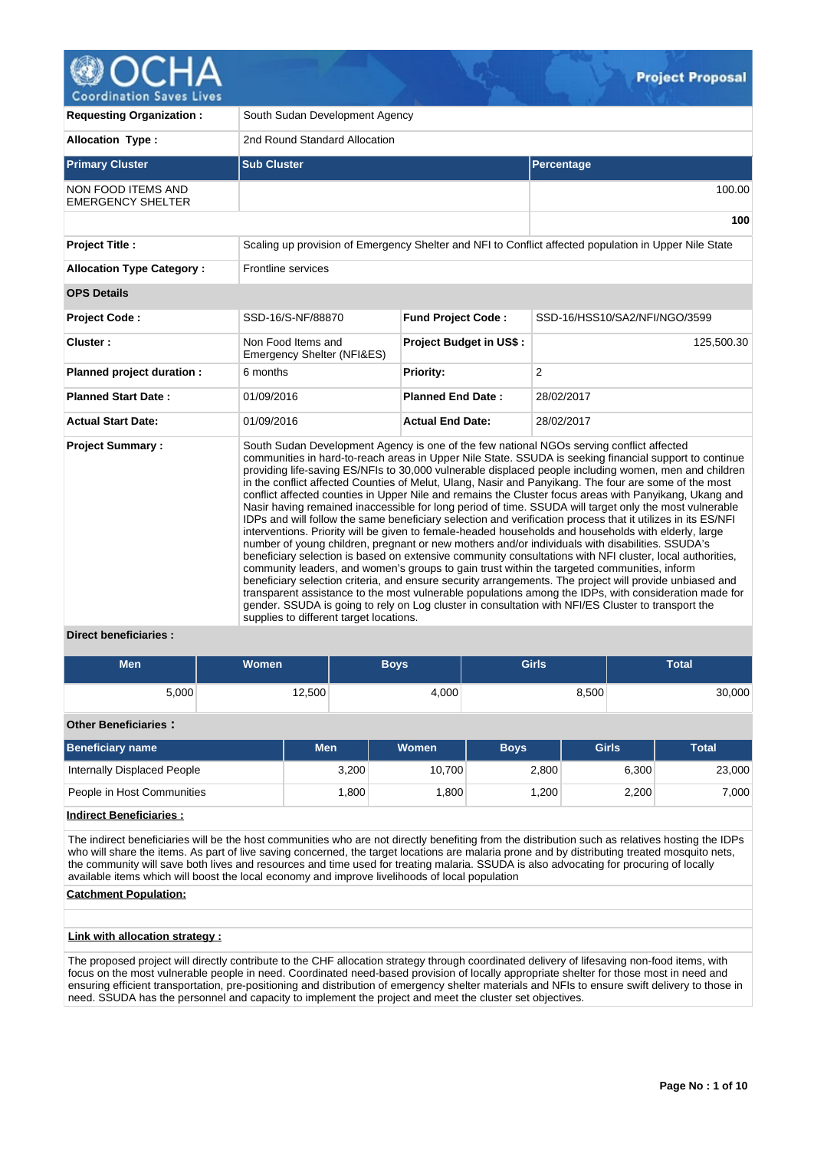

| <b>Requesting Organization:</b>                       | South Sudan Development Agency                   |                                |                                                                                                                                                                                                                                                                                                                                                                                                                                                                                                                                                                                                                                                                                                                                                                                                                                                                                                                                                                                                                                                                                                                                                                                                                                                                                                                                                                                                                                                                                                         |  |  |  |  |  |  |
|-------------------------------------------------------|--------------------------------------------------|--------------------------------|---------------------------------------------------------------------------------------------------------------------------------------------------------------------------------------------------------------------------------------------------------------------------------------------------------------------------------------------------------------------------------------------------------------------------------------------------------------------------------------------------------------------------------------------------------------------------------------------------------------------------------------------------------------------------------------------------------------------------------------------------------------------------------------------------------------------------------------------------------------------------------------------------------------------------------------------------------------------------------------------------------------------------------------------------------------------------------------------------------------------------------------------------------------------------------------------------------------------------------------------------------------------------------------------------------------------------------------------------------------------------------------------------------------------------------------------------------------------------------------------------------|--|--|--|--|--|--|
| <b>Allocation Type:</b>                               | 2nd Round Standard Allocation                    |                                |                                                                                                                                                                                                                                                                                                                                                                                                                                                                                                                                                                                                                                                                                                                                                                                                                                                                                                                                                                                                                                                                                                                                                                                                                                                                                                                                                                                                                                                                                                         |  |  |  |  |  |  |
| <b>Primary Cluster</b>                                | <b>Sub Cluster</b>                               |                                | <b>Percentage</b>                                                                                                                                                                                                                                                                                                                                                                                                                                                                                                                                                                                                                                                                                                                                                                                                                                                                                                                                                                                                                                                                                                                                                                                                                                                                                                                                                                                                                                                                                       |  |  |  |  |  |  |
| <b>NON FOOD ITEMS AND</b><br><b>EMERGENCY SHELTER</b> |                                                  |                                | 100.00                                                                                                                                                                                                                                                                                                                                                                                                                                                                                                                                                                                                                                                                                                                                                                                                                                                                                                                                                                                                                                                                                                                                                                                                                                                                                                                                                                                                                                                                                                  |  |  |  |  |  |  |
|                                                       |                                                  |                                | 100                                                                                                                                                                                                                                                                                                                                                                                                                                                                                                                                                                                                                                                                                                                                                                                                                                                                                                                                                                                                                                                                                                                                                                                                                                                                                                                                                                                                                                                                                                     |  |  |  |  |  |  |
| <b>Project Title:</b>                                 |                                                  |                                | Scaling up provision of Emergency Shelter and NFI to Conflict affected population in Upper Nile State                                                                                                                                                                                                                                                                                                                                                                                                                                                                                                                                                                                                                                                                                                                                                                                                                                                                                                                                                                                                                                                                                                                                                                                                                                                                                                                                                                                                   |  |  |  |  |  |  |
| <b>Allocation Type Category:</b>                      | Frontline services                               |                                |                                                                                                                                                                                                                                                                                                                                                                                                                                                                                                                                                                                                                                                                                                                                                                                                                                                                                                                                                                                                                                                                                                                                                                                                                                                                                                                                                                                                                                                                                                         |  |  |  |  |  |  |
| <b>OPS Details</b>                                    |                                                  |                                |                                                                                                                                                                                                                                                                                                                                                                                                                                                                                                                                                                                                                                                                                                                                                                                                                                                                                                                                                                                                                                                                                                                                                                                                                                                                                                                                                                                                                                                                                                         |  |  |  |  |  |  |
| Project Code:                                         | SSD-16/S-NF/88870                                | <b>Fund Project Code:</b>      | SSD-16/HSS10/SA2/NFI/NGO/3599                                                                                                                                                                                                                                                                                                                                                                                                                                                                                                                                                                                                                                                                                                                                                                                                                                                                                                                                                                                                                                                                                                                                                                                                                                                                                                                                                                                                                                                                           |  |  |  |  |  |  |
| Cluster:                                              | Non Food Items and<br>Emergency Shelter (NFI&ES) | <b>Project Budget in US\$:</b> | 125,500.30                                                                                                                                                                                                                                                                                                                                                                                                                                                                                                                                                                                                                                                                                                                                                                                                                                                                                                                                                                                                                                                                                                                                                                                                                                                                                                                                                                                                                                                                                              |  |  |  |  |  |  |
| Planned project duration :                            | 6 months                                         | <b>Priority:</b>               | 2                                                                                                                                                                                                                                                                                                                                                                                                                                                                                                                                                                                                                                                                                                                                                                                                                                                                                                                                                                                                                                                                                                                                                                                                                                                                                                                                                                                                                                                                                                       |  |  |  |  |  |  |
| <b>Planned Start Date:</b>                            | 01/09/2016                                       | <b>Planned End Date:</b>       | 28/02/2017                                                                                                                                                                                                                                                                                                                                                                                                                                                                                                                                                                                                                                                                                                                                                                                                                                                                                                                                                                                                                                                                                                                                                                                                                                                                                                                                                                                                                                                                                              |  |  |  |  |  |  |
| <b>Actual Start Date:</b>                             | 01/09/2016                                       | <b>Actual End Date:</b>        | 28/02/2017                                                                                                                                                                                                                                                                                                                                                                                                                                                                                                                                                                                                                                                                                                                                                                                                                                                                                                                                                                                                                                                                                                                                                                                                                                                                                                                                                                                                                                                                                              |  |  |  |  |  |  |
| <b>Project Summary:</b><br>Direct beneficiaries :     | supplies to different target locations.          |                                | South Sudan Development Agency is one of the few national NGOs serving conflict affected<br>communities in hard-to-reach areas in Upper Nile State. SSUDA is seeking financial support to continue<br>providing life-saving ES/NFIs to 30,000 vulnerable displaced people including women, men and children<br>in the conflict affected Counties of Melut, Ulang, Nasir and Panyikang. The four are some of the most<br>conflict affected counties in Upper Nile and remains the Cluster focus areas with Panyikang, Ukang and<br>Nasir having remained inaccessible for long period of time. SSUDA will target only the most vulnerable<br>IDPs and will follow the same beneficiary selection and verification process that it utilizes in its ES/NFI<br>interventions. Priority will be given to female-headed households and households with elderly, large<br>number of young children, pregnant or new mothers and/or individuals with disabilities. SSUDA's<br>beneficiary selection is based on extensive community consultations with NFI cluster, local authorities,<br>community leaders, and women's groups to gain trust within the targeted communities, inform<br>beneficiary selection criteria, and ensure security arrangements. The project will provide unbiased and<br>transparent assistance to the most vulnerable populations among the IDPs, with consideration made for<br>gender. SSUDA is going to rely on Log cluster in consultation with NFI/ES Cluster to transport the |  |  |  |  |  |  |

## **Direct beneficiaries :**

| Men   | <b>Women</b> | <b>Boys</b> | <b>Girls</b> | Total  |
|-------|--------------|-------------|--------------|--------|
| 5,000 | 12,500       | 4,000       | 8,500        | 30,000 |

# **Other Beneficiaries :**

| <b>Beneficiary name</b>     | Men   | Women  | <b>Boys</b> | <b>Girls</b> | <b>Total</b> |  |  |
|-----------------------------|-------|--------|-------------|--------------|--------------|--|--|
| Internally Displaced People | 3,200 | 10.700 | 2,800       | 6.300        | 23,000       |  |  |
| People in Host Communities  | .800  | .800   | .200        | 2,200        | 7,000        |  |  |

# **Indirect Beneficiaries :**

The indirect beneficiaries will be the host communities who are not directly benefiting from the distribution such as relatives hosting the IDPs who will share the items. As part of live saving concerned, the target locations are malaria prone and by distributing treated mosquito nets, the community will save both lives and resources and time used for treating malaria. SSUDA is also advocating for procuring of locally available items which will boost the local economy and improve livelihoods of local population

## **Catchment Population:**

# **Link with allocation strategy :**

The proposed project will directly contribute to the CHF allocation strategy through coordinated delivery of lifesaving non-food items, with focus on the most vulnerable people in need. Coordinated need-based provision of locally appropriate shelter for those most in need and ensuring efficient transportation, pre-positioning and distribution of emergency shelter materials and NFIs to ensure swift delivery to those in need. SSUDA has the personnel and capacity to implement the project and meet the cluster set objectives.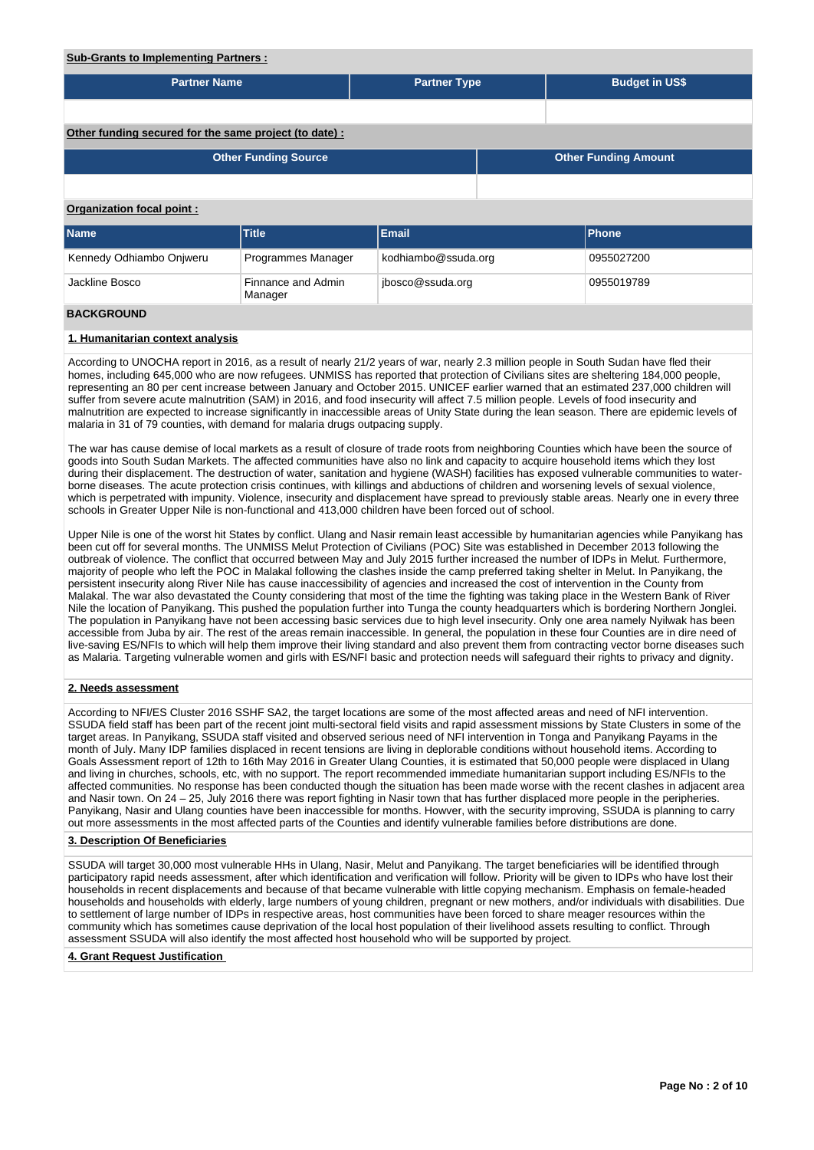#### **Sub-Grants to Implementing Partners :**

| <b>Partner Name</b>                                    |                               | <b>Partner Type</b> |  | <b>Budget in US\$</b>       |  |  |  |  |  |
|--------------------------------------------------------|-------------------------------|---------------------|--|-----------------------------|--|--|--|--|--|
|                                                        |                               |                     |  |                             |  |  |  |  |  |
| Other funding secured for the same project (to date) : |                               |                     |  |                             |  |  |  |  |  |
|                                                        | <b>Other Funding Source</b>   |                     |  | <b>Other Funding Amount</b> |  |  |  |  |  |
|                                                        |                               |                     |  |                             |  |  |  |  |  |
| Organization focal point:                              |                               |                     |  |                             |  |  |  |  |  |
| <b>Name</b>                                            | <b>Title</b>                  | Email               |  | <b>Phone</b>                |  |  |  |  |  |
| Kennedy Odhiambo Onjweru                               | Programmes Manager            | kodhiambo@ssuda.org |  | 0955027200                  |  |  |  |  |  |
| Jackline Bosco                                         | Finnance and Admin<br>Manager | jbosco@ssuda.org    |  | 0955019789                  |  |  |  |  |  |
| <b>BACKGROUND</b>                                      |                               |                     |  |                             |  |  |  |  |  |

# **1. Humanitarian context analysis**

According to UNOCHA report in 2016, as a result of nearly 21/2 years of war, nearly 2.3 million people in South Sudan have fled their homes, including 645,000 who are now refugees. UNMISS has reported that protection of Civilians sites are sheltering 184,000 people, representing an 80 per cent increase between January and October 2015. UNICEF earlier warned that an estimated 237,000 children will suffer from severe acute malnutrition (SAM) in 2016, and food insecurity will affect 7.5 million people. Levels of food insecurity and malnutrition are expected to increase significantly in inaccessible areas of Unity State during the lean season. There are epidemic levels of malaria in 31 of 79 counties, with demand for malaria drugs outpacing supply.

The war has cause demise of local markets as a result of closure of trade roots from neighboring Counties which have been the source of goods into South Sudan Markets. The affected communities have also no link and capacity to acquire household items which they lost during their displacement. The destruction of water, sanitation and hygiene (WASH) facilities has exposed vulnerable communities to waterborne diseases. The acute protection crisis continues, with killings and abductions of children and worsening levels of sexual violence, which is perpetrated with impunity. Violence, insecurity and displacement have spread to previously stable areas. Nearly one in every three schools in Greater Upper Nile is non-functional and 413,000 children have been forced out of school.

Upper Nile is one of the worst hit States by conflict. Ulang and Nasir remain least accessible by humanitarian agencies while Panyikang has been cut off for several months. The UNMISS Melut Protection of Civilians (POC) Site was established in December 2013 following the outbreak of violence. The conflict that occurred between May and July 2015 further increased the number of IDPs in Melut. Furthermore, majority of people who left the POC in Malakal following the clashes inside the camp preferred taking shelter in Melut. In Panyikang, the persistent insecurity along River Nile has cause inaccessibility of agencies and increased the cost of intervention in the County from Malakal. The war also devastated the County considering that most of the time the fighting was taking place in the Western Bank of River Nile the location of Panyikang. This pushed the population further into Tunga the county headquarters which is bordering Northern Jonglei. The population in Panyikang have not been accessing basic services due to high level insecurity. Only one area namely Nyilwak has been accessible from Juba by air. The rest of the areas remain inaccessible. In general, the population in these four Counties are in dire need of live-saving ES/NFIs to which will help them improve their living standard and also prevent them from contracting vector borne diseases such as Malaria. Targeting vulnerable women and girls with ES/NFI basic and protection needs will safeguard their rights to privacy and dignity.

## **2. Needs assessment**

According to NFI/ES Cluster 2016 SSHF SA2, the target locations are some of the most affected areas and need of NFI intervention. SSUDA field staff has been part of the recent joint multi-sectoral field visits and rapid assessment missions by State Clusters in some of the target areas. In Panyikang, SSUDA staff visited and observed serious need of NFI intervention in Tonga and Panyikang Payams in the month of July. Many IDP families displaced in recent tensions are living in deplorable conditions without household items. According to Goals Assessment report of 12th to 16th May 2016 in Greater Ulang Counties, it is estimated that 50,000 people were displaced in Ulang and living in churches, schools, etc, with no support. The report recommended immediate humanitarian support including ES/NFIs to the affected communities. No response has been conducted though the situation has been made worse with the recent clashes in adjacent area and Nasir town. On 24 – 25, July 2016 there was report fighting in Nasir town that has further displaced more people in the peripheries. Panyikang, Nasir and Ulang counties have been inaccessible for months. Howver, with the security improving, SSUDA is planning to carry out more assessments in the most affected parts of the Counties and identify vulnerable families before distributions are done.

## **3. Description Of Beneficiaries**

SSUDA will target 30,000 most vulnerable HHs in Ulang, Nasir, Melut and Panyikang. The target beneficiaries will be identified through participatory rapid needs assessment, after which identification and verification will follow. Priority will be given to IDPs who have lost their households in recent displacements and because of that became vulnerable with little copying mechanism. Emphasis on female-headed households and households with elderly, large numbers of young children, pregnant or new mothers, and/or individuals with disabilities. Due to settlement of large number of IDPs in respective areas, host communities have been forced to share meager resources within the community which has sometimes cause deprivation of the local host population of their livelihood assets resulting to conflict. Through assessment SSUDA will also identify the most affected host household who will be supported by project.

#### **4. Grant Request Justification**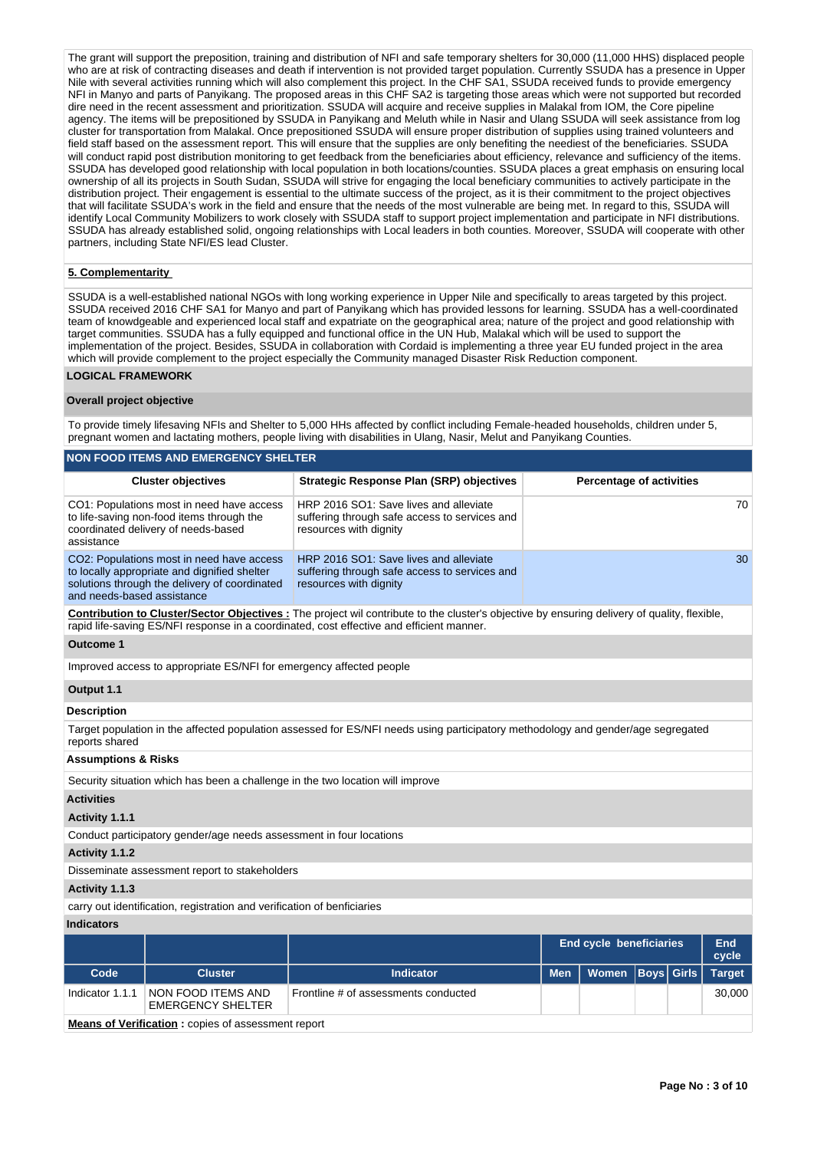The grant will support the preposition, training and distribution of NFI and safe temporary shelters for 30,000 (11,000 HHS) displaced people who are at risk of contracting diseases and death if intervention is not provided target population. Currently SSUDA has a presence in Upper Nile with several activities running which will also complement this project. In the CHF SA1, SSUDA received funds to provide emergency NFI in Manyo and parts of Panyikang. The proposed areas in this CHF SA2 is targeting those areas which were not supported but recorded dire need in the recent assessment and prioritization. SSUDA will acquire and receive supplies in Malakal from IOM, the Core pipeline agency. The items will be prepositioned by SSUDA in Panyikang and Meluth while in Nasir and Ulang SSUDA will seek assistance from log cluster for transportation from Malakal. Once prepositioned SSUDA will ensure proper distribution of supplies using trained volunteers and field staff based on the assessment report. This will ensure that the supplies are only benefiting the neediest of the beneficiaries. SSUDA will conduct rapid post distribution monitoring to get feedback from the beneficiaries about efficiency, relevance and sufficiency of the items. SSUDA has developed good relationship with local population in both locations/counties. SSUDA places a great emphasis on ensuring local ownership of all its projects in South Sudan, SSUDA will strive for engaging the local beneficiary communities to actively participate in the distribution project. Their engagement is essential to the ultimate success of the project, as it is their commitment to the project objectives that will facilitate SSUDA's work in the field and ensure that the needs of the most vulnerable are being met. In regard to this, SSUDA will identify Local Community Mobilizers to work closely with SSUDA staff to support project implementation and participate in NFI distributions. SSUDA has already established solid, ongoing relationships with Local leaders in both counties. Moreover, SSUDA will cooperate with other partners, including State NFI/ES lead Cluster.

## **5. Complementarity**

SSUDA is a well-established national NGOs with long working experience in Upper Nile and specifically to areas targeted by this project. SSUDA received 2016 CHF SA1 for Manyo and part of Panyikang which has provided lessons for learning. SSUDA has a well-coordinated team of knowdgeable and experienced local staff and expatriate on the geographical area; nature of the project and good relationship with target communities. SSUDA has a fully equipped and functional office in the UN Hub, Malakal which will be used to support the implementation of the project. Besides, SSUDA in collaboration with Cordaid is implementing a three year EU funded project in the area which will provide complement to the project especially the Community managed Disaster Risk Reduction component.

## **LOGICAL FRAMEWORK**

## **Overall project objective**

To provide timely lifesaving NFIs and Shelter to 5,000 HHs affected by conflict including Female-headed households, children under 5, pregnant women and lactating mothers, people living with disabilities in Ulang, Nasir, Melut and Panyikang Counties.

|                                                                                                                                                                                                                                          | <b>NON FOOD ITEMS AND EMERGENCY SHELTER</b>                                                                                                |                                                                                                                                  |                                                |                                 |                   |  |               |  |  |  |
|------------------------------------------------------------------------------------------------------------------------------------------------------------------------------------------------------------------------------------------|--------------------------------------------------------------------------------------------------------------------------------------------|----------------------------------------------------------------------------------------------------------------------------------|------------------------------------------------|---------------------------------|-------------------|--|---------------|--|--|--|
|                                                                                                                                                                                                                                          | <b>Cluster objectives</b>                                                                                                                  | <b>Strategic Response Plan (SRP) objectives</b>                                                                                  |                                                | <b>Percentage of activities</b> |                   |  |               |  |  |  |
| assistance                                                                                                                                                                                                                               | CO1: Populations most in need have access<br>to life-saving non-food items through the<br>coordinated delivery of needs-based              | HRP 2016 SO1: Save lives and alleviate<br>suffering through safe access to services and<br>resources with dignity                |                                                |                                 |                   |  |               |  |  |  |
| and needs-based assistance                                                                                                                                                                                                               | CO2: Populations most in need have access<br>to locally appropriate and dignified shelter<br>solutions through the delivery of coordinated | HRP 2016 SO1: Save lives and alleviate<br>suffering through safe access to services and<br>resources with dignity                |                                                |                                 |                   |  |               |  |  |  |
| Contribution to Cluster/Sector Objectives : The project wil contribute to the cluster's objective by ensuring delivery of quality, flexible,<br>rapid life-saving ES/NFI response in a coordinated, cost effective and efficient manner. |                                                                                                                                            |                                                                                                                                  |                                                |                                 |                   |  |               |  |  |  |
| <b>Outcome 1</b>                                                                                                                                                                                                                         |                                                                                                                                            |                                                                                                                                  |                                                |                                 |                   |  |               |  |  |  |
|                                                                                                                                                                                                                                          | Improved access to appropriate ES/NFI for emergency affected people                                                                        |                                                                                                                                  |                                                |                                 |                   |  |               |  |  |  |
| Output 1.1                                                                                                                                                                                                                               |                                                                                                                                            |                                                                                                                                  |                                                |                                 |                   |  |               |  |  |  |
| <b>Description</b>                                                                                                                                                                                                                       |                                                                                                                                            |                                                                                                                                  |                                                |                                 |                   |  |               |  |  |  |
| reports shared                                                                                                                                                                                                                           |                                                                                                                                            | Target population in the affected population assessed for ES/NFI needs using participatory methodology and gender/age segregated |                                                |                                 |                   |  |               |  |  |  |
| <b>Assumptions &amp; Risks</b>                                                                                                                                                                                                           |                                                                                                                                            |                                                                                                                                  |                                                |                                 |                   |  |               |  |  |  |
|                                                                                                                                                                                                                                          |                                                                                                                                            | Security situation which has been a challenge in the two location will improve                                                   |                                                |                                 |                   |  |               |  |  |  |
| <b>Activities</b>                                                                                                                                                                                                                        |                                                                                                                                            |                                                                                                                                  |                                                |                                 |                   |  |               |  |  |  |
| Activity 1.1.1                                                                                                                                                                                                                           |                                                                                                                                            |                                                                                                                                  |                                                |                                 |                   |  |               |  |  |  |
|                                                                                                                                                                                                                                          | Conduct participatory gender/age needs assessment in four locations                                                                        |                                                                                                                                  |                                                |                                 |                   |  |               |  |  |  |
| Activity 1.1.2                                                                                                                                                                                                                           |                                                                                                                                            |                                                                                                                                  |                                                |                                 |                   |  |               |  |  |  |
|                                                                                                                                                                                                                                          | Disseminate assessment report to stakeholders                                                                                              |                                                                                                                                  |                                                |                                 |                   |  |               |  |  |  |
| Activity 1.1.3                                                                                                                                                                                                                           |                                                                                                                                            |                                                                                                                                  |                                                |                                 |                   |  |               |  |  |  |
|                                                                                                                                                                                                                                          | carry out identification, registration and verification of benficiaries                                                                    |                                                                                                                                  |                                                |                                 |                   |  |               |  |  |  |
| <b>Indicators</b>                                                                                                                                                                                                                        |                                                                                                                                            |                                                                                                                                  |                                                |                                 |                   |  |               |  |  |  |
|                                                                                                                                                                                                                                          |                                                                                                                                            |                                                                                                                                  | End<br><b>End cycle beneficiaries</b><br>cycle |                                 |                   |  |               |  |  |  |
| Code                                                                                                                                                                                                                                     | <b>Cluster</b>                                                                                                                             | <b>Indicator</b>                                                                                                                 | <b>Men</b>                                     | Women                           | <b>Boys</b> Girls |  | <b>Target</b> |  |  |  |
| Indicator 1.1.1                                                                                                                                                                                                                          | NON FOOD ITEMS AND<br><b>EMERGENCY SHELTER</b>                                                                                             | Frontline # of assessments conducted                                                                                             |                                                |                                 |                   |  | 30,000        |  |  |  |
|                                                                                                                                                                                                                                          | <b>Means of Verification:</b> copies of assessment report                                                                                  |                                                                                                                                  |                                                |                                 |                   |  |               |  |  |  |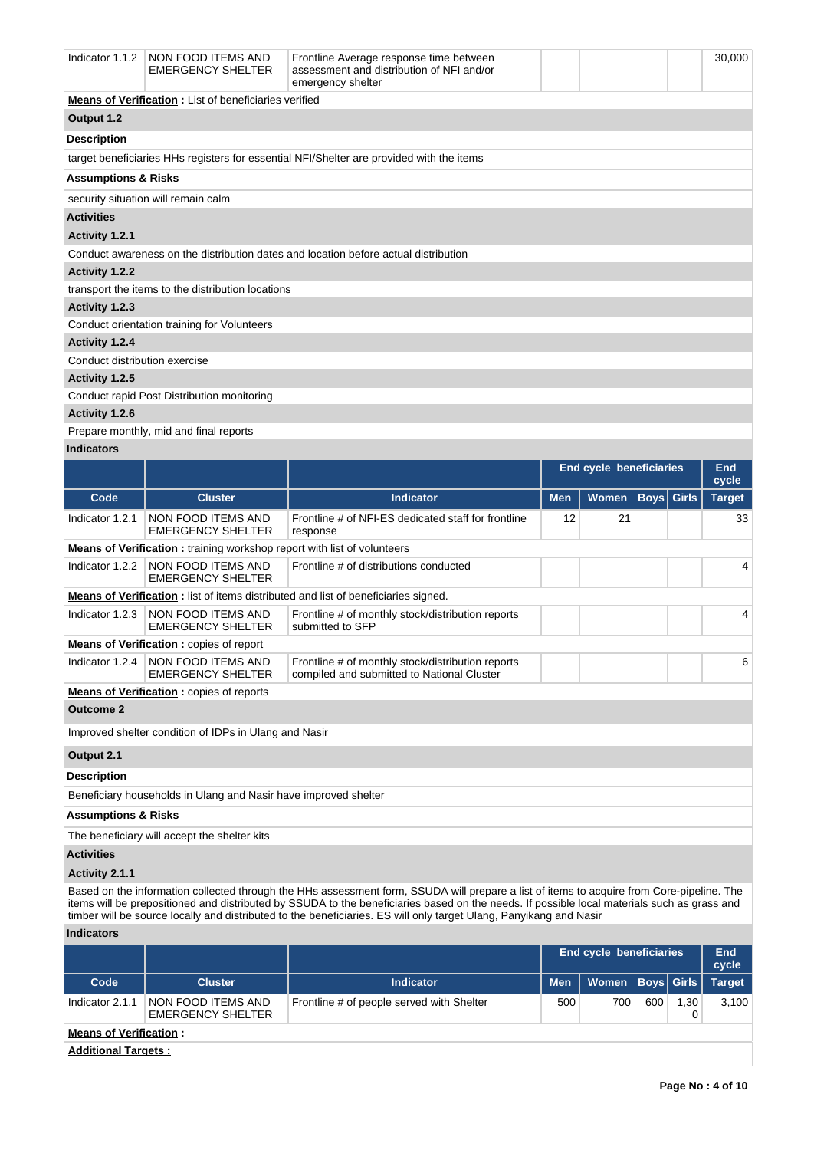| Indicator $1.1.2$                                                                        | NON FOOD ITEMS AND<br><b>EMERGENCY SHELTER</b>                | Frontline Average response time between<br>assessment and distribution of NFI and/or<br>emergency shelter |                                |  | 30,000 |  |  |  |  |  |
|------------------------------------------------------------------------------------------|---------------------------------------------------------------|-----------------------------------------------------------------------------------------------------------|--------------------------------|--|--------|--|--|--|--|--|
|                                                                                          | <b>Means of Verification :</b> List of beneficiaries verified |                                                                                                           |                                |  |        |  |  |  |  |  |
| Output 1.2                                                                               |                                                               |                                                                                                           |                                |  |        |  |  |  |  |  |
| <b>Description</b>                                                                       |                                                               |                                                                                                           |                                |  |        |  |  |  |  |  |
| target beneficiaries HHs registers for essential NFI/Shelter are provided with the items |                                                               |                                                                                                           |                                |  |        |  |  |  |  |  |
| <b>Assumptions &amp; Risks</b>                                                           |                                                               |                                                                                                           |                                |  |        |  |  |  |  |  |
|                                                                                          | security situation will remain calm                           |                                                                                                           |                                |  |        |  |  |  |  |  |
| <b>Activities</b>                                                                        |                                                               |                                                                                                           |                                |  |        |  |  |  |  |  |
| Activity 1.2.1                                                                           |                                                               |                                                                                                           |                                |  |        |  |  |  |  |  |
|                                                                                          |                                                               | Conduct awareness on the distribution dates and location before actual distribution                       |                                |  |        |  |  |  |  |  |
| Activity 1.2.2                                                                           |                                                               |                                                                                                           |                                |  |        |  |  |  |  |  |
|                                                                                          | transport the items to the distribution locations             |                                                                                                           |                                |  |        |  |  |  |  |  |
| Activity 1.2.3                                                                           |                                                               |                                                                                                           |                                |  |        |  |  |  |  |  |
|                                                                                          | Conduct orientation training for Volunteers                   |                                                                                                           |                                |  |        |  |  |  |  |  |
| Activity 1.2.4                                                                           |                                                               |                                                                                                           |                                |  |        |  |  |  |  |  |
| Conduct distribution exercise                                                            |                                                               |                                                                                                           |                                |  |        |  |  |  |  |  |
| Activity 1.2.5                                                                           |                                                               |                                                                                                           |                                |  |        |  |  |  |  |  |
|                                                                                          | Conduct rapid Post Distribution monitoring                    |                                                                                                           |                                |  |        |  |  |  |  |  |
| Activity 1.2.6                                                                           |                                                               |                                                                                                           |                                |  |        |  |  |  |  |  |
|                                                                                          | Prepare monthly, mid and final reports                        |                                                                                                           |                                |  |        |  |  |  |  |  |
| <b>Indicators</b>                                                                        |                                                               |                                                                                                           |                                |  |        |  |  |  |  |  |
|                                                                                          |                                                               |                                                                                                           | <b>End cycle beneficiaries</b> |  | End    |  |  |  |  |  |

|                                                                                                             |                                                                                |                                                                                                 |            | <b>End cycle beneficiaries</b> |      |              | Ena<br>cycle  |  |    |  |
|-------------------------------------------------------------------------------------------------------------|--------------------------------------------------------------------------------|-------------------------------------------------------------------------------------------------|------------|--------------------------------|------|--------------|---------------|--|----|--|
| Code                                                                                                        | <b>Cluster</b>                                                                 | <b>Indicator</b>                                                                                | <b>Men</b> | <b>Women</b>                   | Boys | <b>Girls</b> | <b>Target</b> |  |    |  |
| Indicator 1.2.1                                                                                             | NON FOOD ITEMS AND<br><b>EMERGENCY SHELTER</b>                                 | Frontline # of NFI-ES dedicated staff for frontline<br>response                                 | 12         | 21                             |      |              |               |  | 33 |  |
|                                                                                                             | <b>Means of Verification:</b> training workshop report with list of volunteers |                                                                                                 |            |                                |      |              |               |  |    |  |
| NON FOOD ITEMS AND<br>Indicator 1.2.2<br>Frontline # of distributions conducted<br><b>EMERGENCY SHELTER</b> |                                                                                |                                                                                                 |            |                                |      |              |               |  |    |  |
|                                                                                                             |                                                                                | <b>Means of Verification:</b> list of items distributed and list of beneficiaries signed.       |            |                                |      |              |               |  |    |  |
| Indicator 1.2.3                                                                                             | NON FOOD ITEMS AND<br><b>EMERGENCY SHELTER</b>                                 | Frontline # of monthly stock/distribution reports<br>submitted to SFP                           |            |                                |      |              |               |  |    |  |
|                                                                                                             | <b>Means of Verification:</b> copies of report                                 |                                                                                                 |            |                                |      |              |               |  |    |  |
| Indicator 1.2.4                                                                                             | NON FOOD ITEMS AND<br><b>EMERGENCY SHELTER</b>                                 | Frontline # of monthly stock/distribution reports<br>compiled and submitted to National Cluster |            |                                |      |              | 6             |  |    |  |
|                                                                                                             | <b>Means of Verification:</b> copies of reports                                |                                                                                                 |            |                                |      |              |               |  |    |  |
| <b>Outcome 2</b>                                                                                            |                                                                                |                                                                                                 |            |                                |      |              |               |  |    |  |
|                                                                                                             | Improved shelter condition of IDPs in Ulang and Nasir                          |                                                                                                 |            |                                |      |              |               |  |    |  |
| Output 2.1                                                                                                  |                                                                                |                                                                                                 |            |                                |      |              |               |  |    |  |
| <b>Description</b>                                                                                          |                                                                                |                                                                                                 |            |                                |      |              |               |  |    |  |

Beneficiary households in Ulang and Nasir have improved shelter

**Assumptions & Risks**

The beneficiary will accept the shelter kits

# **Activities**

# **Activity 2.1.1**

Based on the information collected through the HHs assessment form, SSUDA will prepare a list of items to acquire from Core-pipeline. The items will be prepositioned and distributed by SSUDA to the beneficiaries based on the needs. If possible local materials such as grass and timber will be source locally and distributed to the beneficiaries. ES will only target Ulang, Panyikang and Nasir

# **Indicators**

|                               |                                                |                                           | <b>End cycle beneficiaries</b> |                  |     |      | End<br>cycle |  |  |  |
|-------------------------------|------------------------------------------------|-------------------------------------------|--------------------------------|------------------|-----|------|--------------|--|--|--|
| Code                          | <b>Cluster</b>                                 | <b>Indicator</b>                          | <b>Men</b>                     | Women Boys Girls |     |      | Target       |  |  |  |
| Indicator 2.1.1               | NON FOOD ITEMS AND<br><b>EMERGENCY SHELTER</b> | Frontline # of people served with Shelter | 500                            | 700              | 600 | 1,30 | 3.100        |  |  |  |
| <b>Means of Verification:</b> |                                                |                                           |                                |                  |     |      |              |  |  |  |
| <b>Additional Targets:</b>    |                                                |                                           |                                |                  |     |      |              |  |  |  |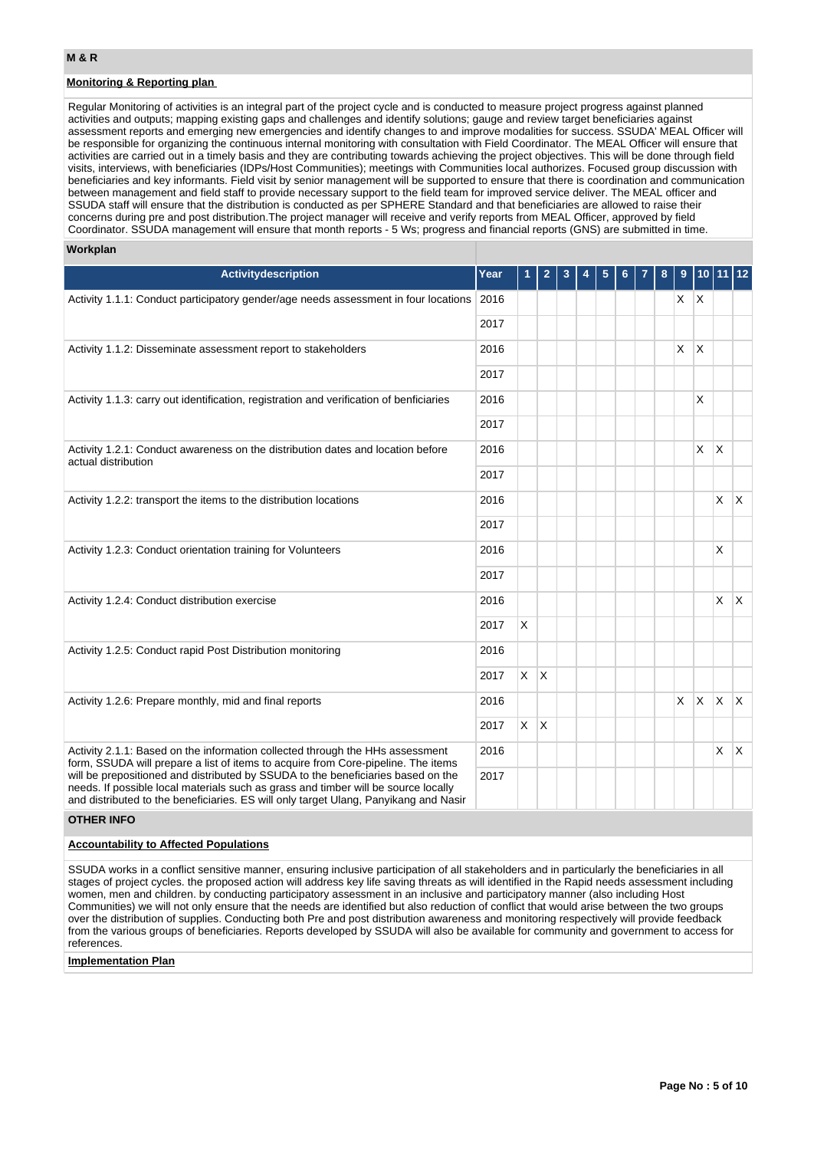# **Monitoring & Reporting plan**

Regular Monitoring of activities is an integral part of the project cycle and is conducted to measure project progress against planned activities and outputs; mapping existing gaps and challenges and identify solutions; gauge and review target beneficiaries against assessment reports and emerging new emergencies and identify changes to and improve modalities for success. SSUDA' MEAL Officer will be responsible for organizing the continuous internal monitoring with consultation with Field Coordinator. The MEAL Officer will ensure that activities are carried out in a timely basis and they are contributing towards achieving the project objectives. This will be done through field visits, interviews, with beneficiaries (IDPs/Host Communities); meetings with Communities local authorizes. Focused group discussion with beneficiaries and key informants. Field visit by senior management will be supported to ensure that there is coordination and communication between management and field staff to provide necessary support to the field team for improved service deliver. The MEAL officer and SSUDA staff will ensure that the distribution is conducted as per SPHERE Standard and that beneficiaries are allowed to raise their concerns during pre and post distribution.The project manager will receive and verify reports from MEAL Officer, approved by field Coordinator. SSUDA management will ensure that month reports - 5 Ws; progress and financial reports (GNS) are submitted in time.

#### **Workplan**

| <b>Activitydescription</b>                                                                                                                                                                                                                                     | Year |         | $\overline{\mathbf{c}}$ | 3 | 5 |  | 8 |          |              |              | $11$   12 |
|----------------------------------------------------------------------------------------------------------------------------------------------------------------------------------------------------------------------------------------------------------------|------|---------|-------------------------|---|---|--|---|----------|--------------|--------------|-----------|
| Activity 1.1.1: Conduct participatory gender/age needs assessment in four locations 2016                                                                                                                                                                       |      |         |                         |   |   |  |   | $X$ $X$  |              |              |           |
|                                                                                                                                                                                                                                                                | 2017 |         |                         |   |   |  |   |          |              |              |           |
| Activity 1.1.2: Disseminate assessment report to stakeholders                                                                                                                                                                                                  | 2016 |         |                         |   |   |  |   | X        | <sup>X</sup> |              |           |
|                                                                                                                                                                                                                                                                | 2017 |         |                         |   |   |  |   |          |              |              |           |
| Activity 1.1.3: carry out identification, registration and verification of benficiaries                                                                                                                                                                        | 2016 |         |                         |   |   |  |   |          | $\mathsf{x}$ |              |           |
|                                                                                                                                                                                                                                                                | 2017 |         |                         |   |   |  |   |          |              |              |           |
| Activity 1.2.1: Conduct awareness on the distribution dates and location before<br>actual distribution                                                                                                                                                         | 2016 |         |                         |   |   |  |   |          | $\mathsf{X}$ | $\mathsf{X}$ |           |
|                                                                                                                                                                                                                                                                | 2017 |         |                         |   |   |  |   |          |              |              |           |
| Activity 1.2.2: transport the items to the distribution locations                                                                                                                                                                                              | 2016 |         |                         |   |   |  |   |          |              | X            | X.        |
|                                                                                                                                                                                                                                                                | 2017 |         |                         |   |   |  |   |          |              |              |           |
| Activity 1.2.3: Conduct orientation training for Volunteers                                                                                                                                                                                                    | 2016 |         |                         |   |   |  |   |          |              | X            |           |
|                                                                                                                                                                                                                                                                | 2017 |         |                         |   |   |  |   |          |              |              |           |
| Activity 1.2.4: Conduct distribution exercise                                                                                                                                                                                                                  | 2016 |         |                         |   |   |  |   |          |              | X.           | IX.       |
|                                                                                                                                                                                                                                                                | 2017 | X       |                         |   |   |  |   |          |              |              |           |
| Activity 1.2.5: Conduct rapid Post Distribution monitoring                                                                                                                                                                                                     | 2016 |         |                         |   |   |  |   |          |              |              |           |
|                                                                                                                                                                                                                                                                | 2017 | $X$ $X$ |                         |   |   |  |   |          |              |              |           |
| Activity 1.2.6: Prepare monthly, mid and final reports                                                                                                                                                                                                         | 2016 |         |                         |   |   |  |   | $\times$ | $\mathsf{X}$ | $\mathsf{X}$ | <b>X</b>  |
|                                                                                                                                                                                                                                                                | 2017 | X       | ΙX.                     |   |   |  |   |          |              |              |           |
| Activity 2.1.1: Based on the information collected through the HHs assessment<br>form, SSUDA will prepare a list of items to acquire from Core-pipeline. The items                                                                                             | 2016 |         |                         |   |   |  |   |          |              | $\mathsf{X}$ | <b>X</b>  |
| will be prepositioned and distributed by SSUDA to the beneficiaries based on the<br>needs. If possible local materials such as grass and timber will be source locally<br>and distributed to the beneficiaries. ES will only target Ulang, Panyikang and Nasir | 2017 |         |                         |   |   |  |   |          |              |              |           |

## **OTHER INFO**

# **Accountability to Affected Populations**

SSUDA works in a conflict sensitive manner, ensuring inclusive participation of all stakeholders and in particularly the beneficiaries in all stages of project cycles. the proposed action will address key life saving threats as will identified in the Rapid needs assessment including women, men and children. by conducting participatory assessment in an inclusive and participatory manner (also including Host Communities) we will not only ensure that the needs are identified but also reduction of conflict that would arise between the two groups over the distribution of supplies. Conducting both Pre and post distribution awareness and monitoring respectively will provide feedback from the various groups of beneficiaries. Reports developed by SSUDA will also be available for community and government to access for references.

## **Implementation Plan**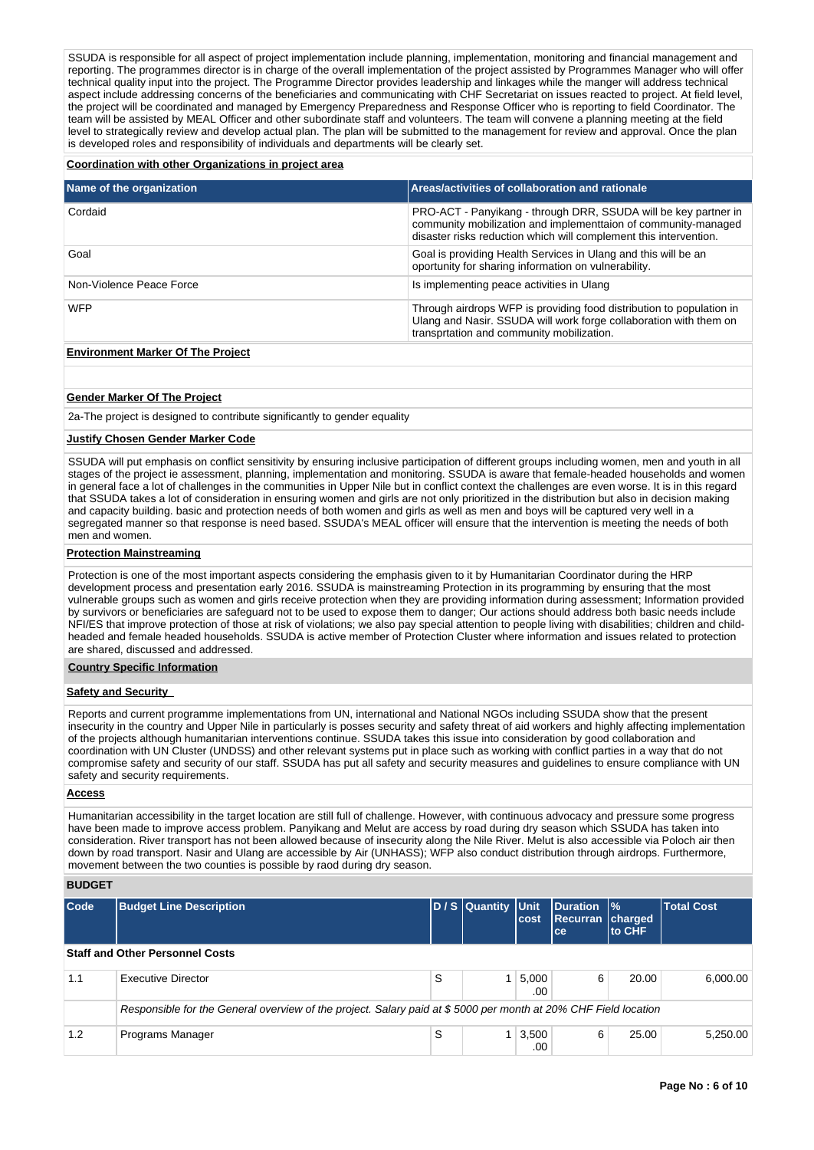SSUDA is responsible for all aspect of project implementation include planning, implementation, monitoring and financial management and reporting. The programmes director is in charge of the overall implementation of the project assisted by Programmes Manager who will offer technical quality input into the project. The Programme Director provides leadership and linkages while the manger will address technical aspect include addressing concerns of the beneficiaries and communicating with CHF Secretariat on issues reacted to project. At field level, the project will be coordinated and managed by Emergency Preparedness and Response Officer who is reporting to field Coordinator. The team will be assisted by MEAL Officer and other subordinate staff and volunteers. The team will convene a planning meeting at the field level to strategically review and develop actual plan. The plan will be submitted to the management for review and approval. Once the plan is developed roles and responsibility of individuals and departments will be clearly set.

#### **Coordination with other Organizations in project area**

| Name of the organization                 | Areas/activities of collaboration and rationale                                                                                                                                                        |
|------------------------------------------|--------------------------------------------------------------------------------------------------------------------------------------------------------------------------------------------------------|
| Cordaid                                  | PRO-ACT - Panyikang - through DRR, SSUDA will be key partner in<br>community mobilization and implementtaion of community-managed<br>disaster risks reduction which will complement this intervention. |
| Goal                                     | Goal is providing Health Services in Ulang and this will be an<br>oportunity for sharing information on vulnerability.                                                                                 |
| Non-Violence Peace Force                 | Is implementing peace activities in Ulang                                                                                                                                                              |
| <b>WFP</b>                               | Through airdrops WFP is providing food distribution to population in<br>Ulang and Nasir. SSUDA will work forge collaboration with them on<br>transprtation and community mobilization.                 |
| <b>Environment Marker Of The Project</b> |                                                                                                                                                                                                        |

# **Gender Marker Of The Project**

2a-The project is designed to contribute significantly to gender equality

#### **Justify Chosen Gender Marker Code**

SSUDA will put emphasis on conflict sensitivity by ensuring inclusive participation of different groups including women, men and youth in all stages of the project ie assessment, planning, implementation and monitoring. SSUDA is aware that female-headed households and women in general face a lot of challenges in the communities in Upper Nile but in conflict context the challenges are even worse. It is in this regard that SSUDA takes a lot of consideration in ensuring women and girls are not only prioritized in the distribution but also in decision making and capacity building. basic and protection needs of both women and girls as well as men and boys will be captured very well in a segregated manner so that response is need based. SSUDA's MEAL officer will ensure that the intervention is meeting the needs of both men and women.

#### **Protection Mainstreaming**

Protection is one of the most important aspects considering the emphasis given to it by Humanitarian Coordinator during the HRP development process and presentation early 2016. SSUDA is mainstreaming Protection in its programming by ensuring that the most vulnerable groups such as women and girls receive protection when they are providing information during assessment; Information provided by survivors or beneficiaries are safeguard not to be used to expose them to danger; Our actions should address both basic needs include NFI/ES that improve protection of those at risk of violations; we also pay special attention to people living with disabilities; children and childheaded and female headed households. SSUDA is active member of Protection Cluster where information and issues related to protection are shared, discussed and addressed.

#### **Country Specific Information**

## **Safety and Security**

Reports and current programme implementations from UN, international and National NGOs including SSUDA show that the present insecurity in the country and Upper Nile in particularly is posses security and safety threat of aid workers and highly affecting implementation of the projects although humanitarian interventions continue. SSUDA takes this issue into consideration by good collaboration and coordination with UN Cluster (UNDSS) and other relevant systems put in place such as working with conflict parties in a way that do not compromise safety and security of our staff. SSUDA has put all safety and security measures and guidelines to ensure compliance with UN safety and security requirements.

## **Access**

Humanitarian accessibility in the target location are still full of challenge. However, with continuous advocacy and pressure some progress have been made to improve access problem. Panyikang and Melut are access by road during dry season which SSUDA has taken into consideration. River transport has not been allowed because of insecurity along the Nile River. Melut is also accessible via Poloch air then down by road transport. Nasir and Ulang are accessible by Air (UNHASS); WFP also conduct distribution through airdrops. Furthermore, movement between the two counties is possible by raod during dry season.

#### **BUDGET**

| <b>Code</b>                            | <b>Budget Line Description</b>                                                                                 |   | D / S Quantity Unit | cost         | Duration  %<br><b>Recurran charged</b><br>ce. | <b>to CHF</b> | <b>Total Cost</b> |  |  |  |  |
|----------------------------------------|----------------------------------------------------------------------------------------------------------------|---|---------------------|--------------|-----------------------------------------------|---------------|-------------------|--|--|--|--|
| <b>Staff and Other Personnel Costs</b> |                                                                                                                |   |                     |              |                                               |               |                   |  |  |  |  |
| 1.1                                    | Executive Director                                                                                             | S |                     | 5,000<br>.00 | 6                                             | 20.00         | 6,000.00          |  |  |  |  |
|                                        | Responsible for the General overview of the project. Salary paid at \$5000 per month at 20% CHF Field location |   |                     |              |                                               |               |                   |  |  |  |  |
| 1.2                                    | Programs Manager                                                                                               | S |                     | 3,500<br>.00 | 6                                             | 25.00         | 5.250.00          |  |  |  |  |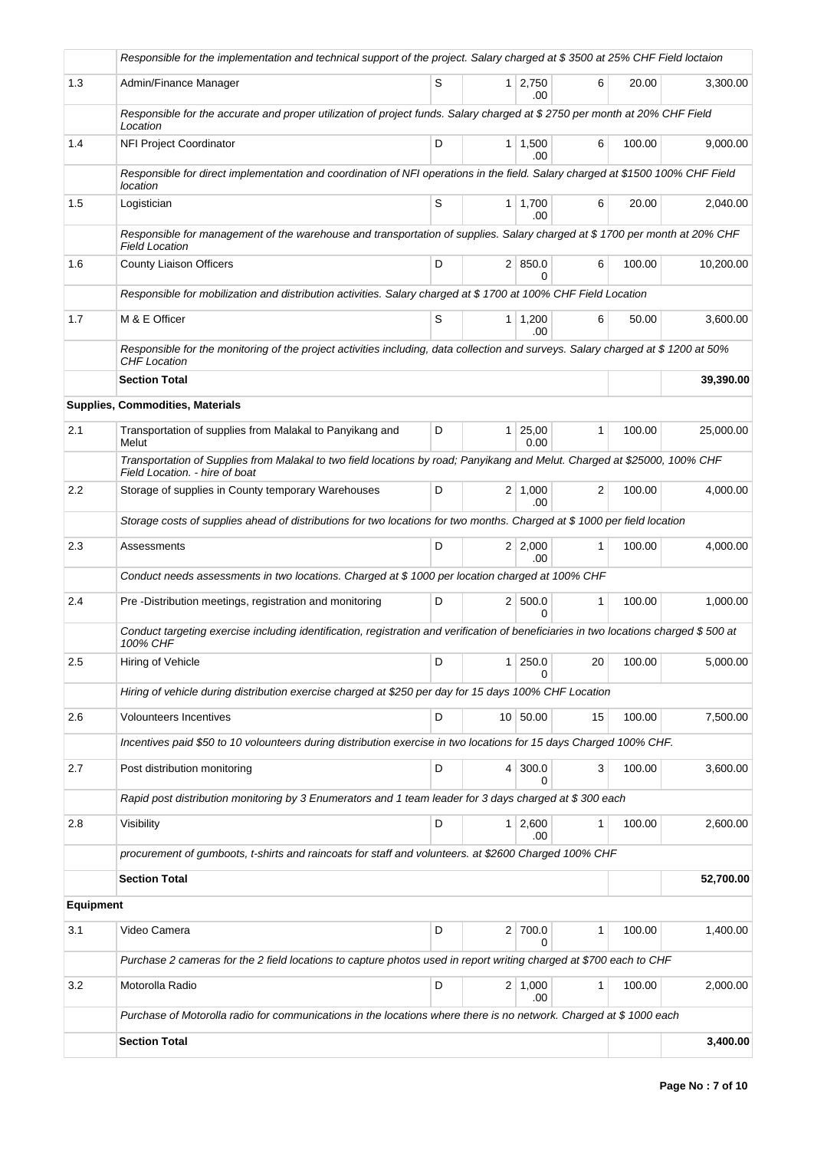|                  | Responsible for the implementation and technical support of the project. Salary charged at \$3500 at 25% CHF Field loctaion                                 |   |   |                       |                 |        |           |
|------------------|-------------------------------------------------------------------------------------------------------------------------------------------------------------|---|---|-----------------------|-----------------|--------|-----------|
| 1.3              | Admin/Finance Manager                                                                                                                                       | S |   | 1 2,750<br>.00.       | 6               | 20.00  | 3,300.00  |
|                  | Responsible for the accurate and proper utilization of project funds. Salary charged at \$2750 per month at 20% CHF Field<br>Location                       |   |   |                       |                 |        |           |
| 1.4              | NFI Project Coordinator                                                                                                                                     | D |   | $1 \mid 1,500$<br>.00 | 6               | 100.00 | 9,000.00  |
|                  | Responsible for direct implementation and coordination of NFI operations in the field. Salary charged at \$1500 100% CHF Field<br>location                  |   |   |                       |                 |        |           |
| 1.5              | Logistician                                                                                                                                                 | S |   | $1 \mid 1,700$<br>.00 | 6               | 20.00  | 2,040.00  |
|                  | Responsible for management of the warehouse and transportation of supplies. Salary charged at \$1700 per month at 20% CHF<br><b>Field Location</b>          |   |   |                       |                 |        |           |
| 1.6              | <b>County Liaison Officers</b>                                                                                                                              | D |   | 2   850.0<br>$\Omega$ | 6               | 100.00 | 10,200.00 |
|                  | Responsible for mobilization and distribution activities. Salary charged at \$1700 at 100% CHF Field Location                                               |   |   |                       |                 |        |           |
| 1.7              | M & E Officer                                                                                                                                               | S |   | $1 \mid 1,200$<br>.00 | 6               | 50.00  | 3,600.00  |
|                  | Responsible for the monitoring of the project activities including, data collection and surveys. Salary charged at \$ 1200 at 50%<br>CHF Location           |   |   |                       |                 |        |           |
|                  | <b>Section Total</b>                                                                                                                                        |   |   |                       |                 |        | 39,390.00 |
|                  | Supplies, Commodities, Materials                                                                                                                            |   |   |                       |                 |        |           |
| 2.1              | Transportation of supplies from Malakal to Panyikang and<br>Melut                                                                                           | D | 1 | 25,00<br>0.00         | 1               | 100.00 | 25,000.00 |
|                  | Transportation of Supplies from Malakal to two field locations by road; Panyikang and Melut. Charged at \$25000, 100% CHF<br>Field Location. - hire of boat |   |   |                       |                 |        |           |
| 2.2              | Storage of supplies in County temporary Warehouses                                                                                                          | D |   | $2 \mid 1,000$<br>.00 | 2               | 100.00 | 4,000.00  |
|                  | Storage costs of supplies ahead of distributions for two locations for two months. Charged at \$1000 per field location                                     |   |   |                       |                 |        |           |
| 2.3              | Assessments                                                                                                                                                 | D |   | $2 \mid 2,000$<br>.00 | 1               | 100.00 | 4,000.00  |
|                  | Conduct needs assessments in two locations. Charged at \$1000 per location charged at 100% CHF                                                              |   |   |                       |                 |        |           |
| 2.4              | Pre -Distribution meetings, registration and monitoring                                                                                                     | D |   | 2   500.0<br>$\Omega$ | 1               | 100.00 | 1,000.00  |
|                  | Conduct targeting exercise including identification, registration and verification of beneficiaries in two locations charged \$ 500 at<br>100% CHF          |   |   |                       |                 |        |           |
| 2.5              | Hiring of Vehicle                                                                                                                                           | D |   | 1 250.0               | 20 <sup>1</sup> | 100.00 | 5,000.00  |
|                  | Hiring of vehicle during distribution exercise charged at \$250 per day for 15 days 100% CHF Location                                                       |   |   |                       |                 |        |           |
| 2.6              | Volounteers Incentives                                                                                                                                      | D |   | 10 50.00              | 15              | 100.00 | 7,500.00  |
|                  | Incentives paid \$50 to 10 volounteers during distribution exercise in two locations for 15 days Charged 100% CHF.                                          |   |   |                       |                 |        |           |
| 2.7              | Post distribution monitoring                                                                                                                                | D |   | 4 300.0<br>0          | 3               | 100.00 | 3,600.00  |
|                  | Rapid post distribution monitoring by 3 Enumerators and 1 team leader for 3 days charged at \$300 each                                                      |   |   |                       |                 |        |           |
| 2.8              | Visibility                                                                                                                                                  | D |   | $1 \mid 2,600$<br>.00 | 1               | 100.00 | 2,600.00  |
|                  | procurement of gumboots, t-shirts and raincoats for staff and volunteers. at \$2600 Charged 100% CHF                                                        |   |   |                       |                 |        |           |
|                  | <b>Section Total</b>                                                                                                                                        |   |   |                       |                 |        | 52,700.00 |
| <b>Equipment</b> |                                                                                                                                                             |   |   |                       |                 |        |           |
| 3.1              | Video Camera                                                                                                                                                | D |   | 2 700.0<br>$\Omega$   | 1               | 100.00 | 1,400.00  |
|                  | Purchase 2 cameras for the 2 field locations to capture photos used in report writing charged at \$700 each to CHF                                          |   |   |                       |                 |        |           |
| 3.2              | Motorolla Radio                                                                                                                                             | D |   | $2 \mid 1,000$<br>.00 | 1               | 100.00 | 2,000.00  |
|                  | Purchase of Motorolla radio for communications in the locations where there is no network. Charged at \$1000 each                                           |   |   |                       |                 |        |           |
|                  | <b>Section Total</b>                                                                                                                                        |   |   |                       |                 |        | 3,400.00  |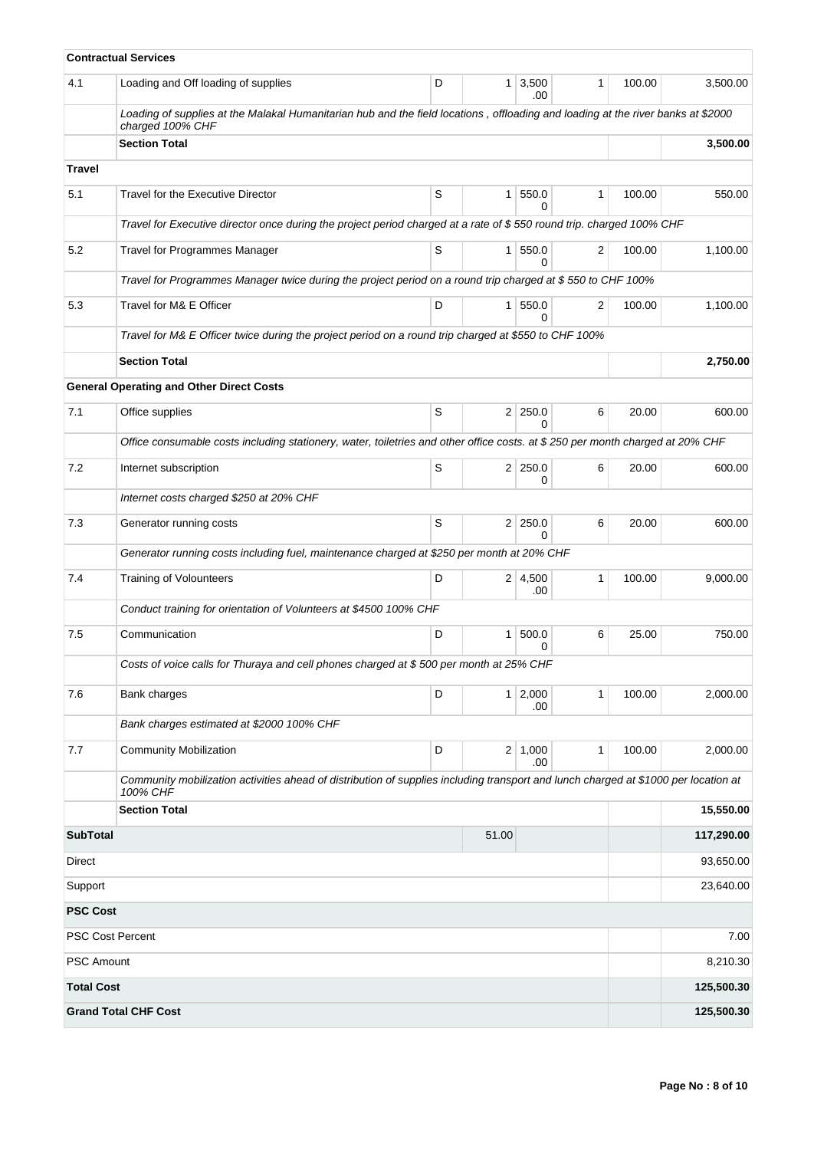|                            | <b>Contractual Services</b>                                                                                                                          |   |                |                                |              |        |            |  |  |  |  |
|----------------------------|------------------------------------------------------------------------------------------------------------------------------------------------------|---|----------------|--------------------------------|--------------|--------|------------|--|--|--|--|
| 4.1                        | Loading and Off loading of supplies                                                                                                                  | D | 1 <sup>1</sup> | 3,500<br>.00                   | $\mathbf{1}$ | 100.00 | 3,500.00   |  |  |  |  |
|                            | Loading of supplies at the Malakal Humanitarian hub and the field locations, offloading and loading at the river banks at \$2000<br>charged 100% CHF |   |                |                                |              |        |            |  |  |  |  |
|                            | <b>Section Total</b>                                                                                                                                 |   |                |                                |              |        | 3,500.00   |  |  |  |  |
| <b>Travel</b>              |                                                                                                                                                      |   |                |                                |              |        |            |  |  |  |  |
| 5.1                        | Travel for the Executive Director                                                                                                                    | S | 1 <sup>1</sup> | 550.0<br>0                     | 1            | 100.00 | 550.00     |  |  |  |  |
|                            | Travel for Executive director once during the project period charged at a rate of \$550 round trip. charged 100% CHF                                 |   |                |                                |              |        |            |  |  |  |  |
| 5.2                        | <b>Travel for Programmes Manager</b>                                                                                                                 | S |                | 1   550.0<br>$\Omega$          | 2            | 100.00 | 1,100.00   |  |  |  |  |
|                            | Travel for Programmes Manager twice during the project period on a round trip charged at \$ 550 to CHF 100%                                          |   |                |                                |              |        |            |  |  |  |  |
| 5.3                        | Travel for M& E Officer                                                                                                                              | D | 1 <sup>1</sup> | 550.0<br>0                     | 2            | 100.00 | 1,100.00   |  |  |  |  |
|                            | Travel for M& E Officer twice during the project period on a round trip charged at \$550 to CHF 100%                                                 |   |                |                                |              |        |            |  |  |  |  |
|                            | <b>Section Total</b>                                                                                                                                 |   |                |                                |              |        | 2,750.00   |  |  |  |  |
|                            | <b>General Operating and Other Direct Costs</b>                                                                                                      |   |                |                                |              |        |            |  |  |  |  |
| 7.1                        | Office supplies                                                                                                                                      | S |                | $2 \mid 250.0$<br><sup>0</sup> | 6            | 20.00  | 600.00     |  |  |  |  |
|                            | Office consumable costs including stationery, water, toiletries and other office costs. at \$250 per month charged at 20% CHF                        |   |                |                                |              |        |            |  |  |  |  |
| 7.2                        | Internet subscription                                                                                                                                | S | 2 <sup>1</sup> | 250.0<br>0                     | 6            | 20.00  | 600.00     |  |  |  |  |
|                            | Internet costs charged \$250 at 20% CHF                                                                                                              |   |                |                                |              |        |            |  |  |  |  |
| 7.3                        | Generator running costs                                                                                                                              | S | 2 <sup>1</sup> | 250.0<br><sup>0</sup>          | 6            | 20.00  | 600.00     |  |  |  |  |
|                            | Generator running costs including fuel, maintenance charged at \$250 per month at 20% CHF                                                            |   |                |                                |              |        |            |  |  |  |  |
| 7.4                        | <b>Training of Volounteers</b>                                                                                                                       | D |                | $2 \mid 4,500$<br>.00          | 1            | 100.00 | 9,000.00   |  |  |  |  |
|                            | Conduct training for orientation of Volunteers at \$4500 100% CHF                                                                                    |   |                |                                |              |        |            |  |  |  |  |
| 7.5                        | Communication                                                                                                                                        | D | 1              | 500.0<br>0                     | 6            | 25.00  | 750.00     |  |  |  |  |
|                            | Costs of voice calls for Thuraya and cell phones charged at \$500 per month at 25% CHF                                                               |   |                |                                |              |        |            |  |  |  |  |
| 7.6                        | Bank charges                                                                                                                                         | D |                | $1 \ 2,000$<br>.00             | $\mathbf{1}$ | 100.00 | 2,000.00   |  |  |  |  |
|                            | Bank charges estimated at \$2000 100% CHF                                                                                                            |   |                |                                |              |        |            |  |  |  |  |
| 7.7                        | <b>Community Mobilization</b>                                                                                                                        | D |                | 2   1,000<br>.00               | 1            | 100.00 | 2,000.00   |  |  |  |  |
|                            | Community mobilization activities ahead of distribution of supplies including transport and lunch charged at \$1000 per location at<br>100% CHF      |   |                |                                |              |        |            |  |  |  |  |
|                            | <b>Section Total</b>                                                                                                                                 |   |                |                                |              |        | 15,550.00  |  |  |  |  |
| <b>SubTotal</b>            |                                                                                                                                                      |   | 51.00          |                                |              |        | 117,290.00 |  |  |  |  |
| Direct                     |                                                                                                                                                      |   | 93,650.00      |                                |              |        |            |  |  |  |  |
| Support<br><b>PSC Cost</b> |                                                                                                                                                      |   |                |                                |              |        | 23,640.00  |  |  |  |  |
|                            | <b>PSC Cost Percent</b>                                                                                                                              |   |                |                                |              |        | 7.00       |  |  |  |  |
| <b>PSC Amount</b>          |                                                                                                                                                      |   |                |                                |              |        | 8,210.30   |  |  |  |  |
| <b>Total Cost</b>          |                                                                                                                                                      |   |                |                                |              |        | 125,500.30 |  |  |  |  |
|                            | <b>Grand Total CHF Cost</b>                                                                                                                          |   |                |                                |              |        | 125,500.30 |  |  |  |  |